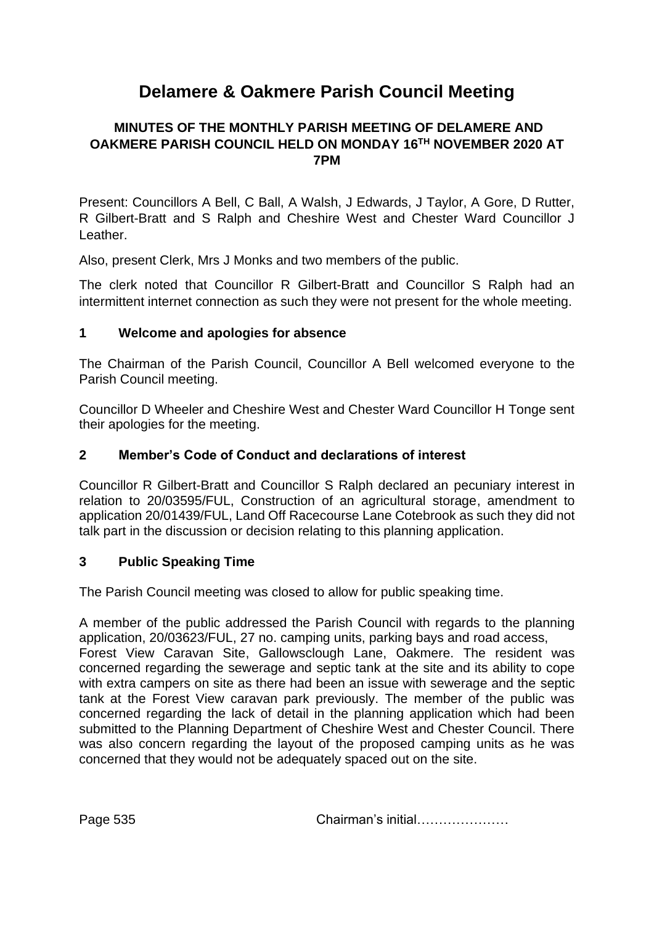# **Delamere & Oakmere Parish Council Meeting**

# **MINUTES OF THE MONTHLY PARISH MEETING OF DELAMERE AND OAKMERE PARISH COUNCIL HELD ON MONDAY 16TH NOVEMBER 2020 AT 7PM**

Present: Councillors A Bell, C Ball, A Walsh, J Edwards, J Taylor, A Gore, D Rutter, R Gilbert-Bratt and S Ralph and Cheshire West and Chester Ward Councillor J Leather.

Also, present Clerk, Mrs J Monks and two members of the public.

The clerk noted that Councillor R Gilbert-Bratt and Councillor S Ralph had an intermittent internet connection as such they were not present for the whole meeting.

## **1 Welcome and apologies for absence**

The Chairman of the Parish Council, Councillor A Bell welcomed everyone to the Parish Council meeting.

Councillor D Wheeler and Cheshire West and Chester Ward Councillor H Tonge sent their apologies for the meeting.

## **2 Member's Code of Conduct and declarations of interest**

Councillor R Gilbert-Bratt and Councillor S Ralph declared an pecuniary interest in relation to 20/03595/FUL, Construction of an agricultural storage, amendment to application 20/01439/FUL, Land Off Racecourse Lane Cotebrook as such they did not talk part in the discussion or decision relating to this planning application.

#### **3 Public Speaking Time**

The Parish Council meeting was closed to allow for public speaking time.

A member of the public addressed the Parish Council with regards to the planning application, 20/03623/FUL, 27 no. camping units, parking bays and road access, Forest View Caravan Site, Gallowsclough Lane, Oakmere. The resident was concerned regarding the sewerage and septic tank at the site and its ability to cope with extra campers on site as there had been an issue with sewerage and the septic tank at the Forest View caravan park previously. The member of the public was concerned regarding the lack of detail in the planning application which had been submitted to the Planning Department of Cheshire West and Chester Council. There was also concern regarding the layout of the proposed camping units as he was concerned that they would not be adequately spaced out on the site.

Page 535 **Chairman's initial………………**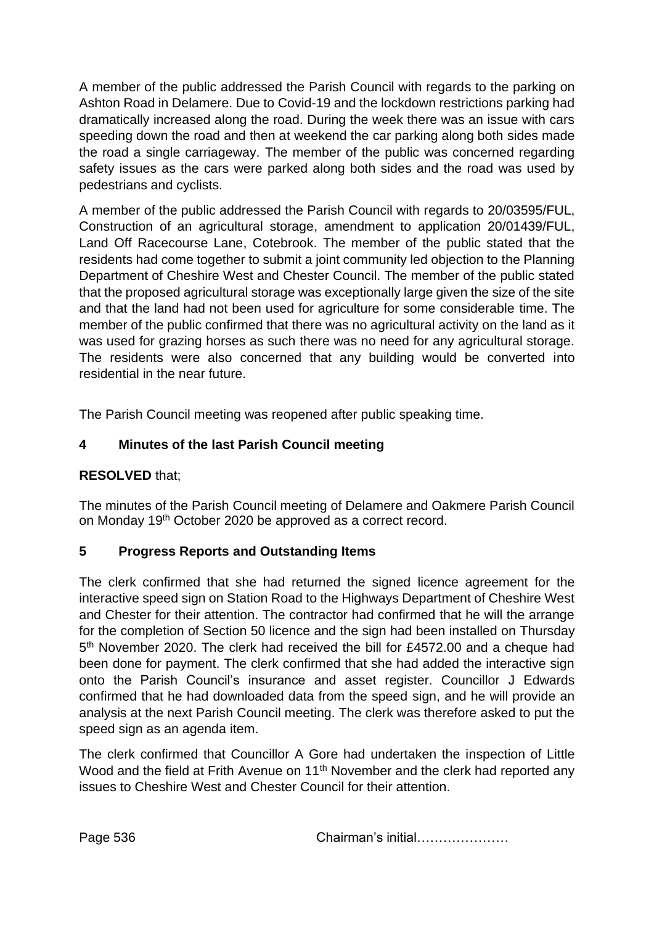A member of the public addressed the Parish Council with regards to the parking on Ashton Road in Delamere. Due to Covid-19 and the lockdown restrictions parking had dramatically increased along the road. During the week there was an issue with cars speeding down the road and then at weekend the car parking along both sides made the road a single carriageway. The member of the public was concerned regarding safety issues as the cars were parked along both sides and the road was used by pedestrians and cyclists.

A member of the public addressed the Parish Council with regards to 20/03595/FUL, Construction of an agricultural storage, amendment to application 20/01439/FUL, Land Off Racecourse Lane, Cotebrook. The member of the public stated that the residents had come together to submit a joint community led objection to the Planning Department of Cheshire West and Chester Council. The member of the public stated that the proposed agricultural storage was exceptionally large given the size of the site and that the land had not been used for agriculture for some considerable time. The member of the public confirmed that there was no agricultural activity on the land as it was used for grazing horses as such there was no need for any agricultural storage. The residents were also concerned that any building would be converted into residential in the near future.

The Parish Council meeting was reopened after public speaking time.

# **4 Minutes of the last Parish Council meeting**

# **RESOLVED** that;

The minutes of the Parish Council meeting of Delamere and Oakmere Parish Council on Monday 19<sup>th</sup> October 2020 be approved as a correct record.

# **5 Progress Reports and Outstanding Items**

The clerk confirmed that she had returned the signed licence agreement for the interactive speed sign on Station Road to the Highways Department of Cheshire West and Chester for their attention. The contractor had confirmed that he will the arrange for the completion of Section 50 licence and the sign had been installed on Thursday 5<sup>th</sup> November 2020. The clerk had received the bill for £4572.00 and a cheque had been done for payment. The clerk confirmed that she had added the interactive sign onto the Parish Council's insurance and asset register. Councillor J Edwards confirmed that he had downloaded data from the speed sign, and he will provide an analysis at the next Parish Council meeting. The clerk was therefore asked to put the speed sign as an agenda item.

The clerk confirmed that Councillor A Gore had undertaken the inspection of Little Wood and the field at Frith Avenue on 11<sup>th</sup> November and the clerk had reported any issues to Cheshire West and Chester Council for their attention.

Page 536 **Chairman's initial…………………**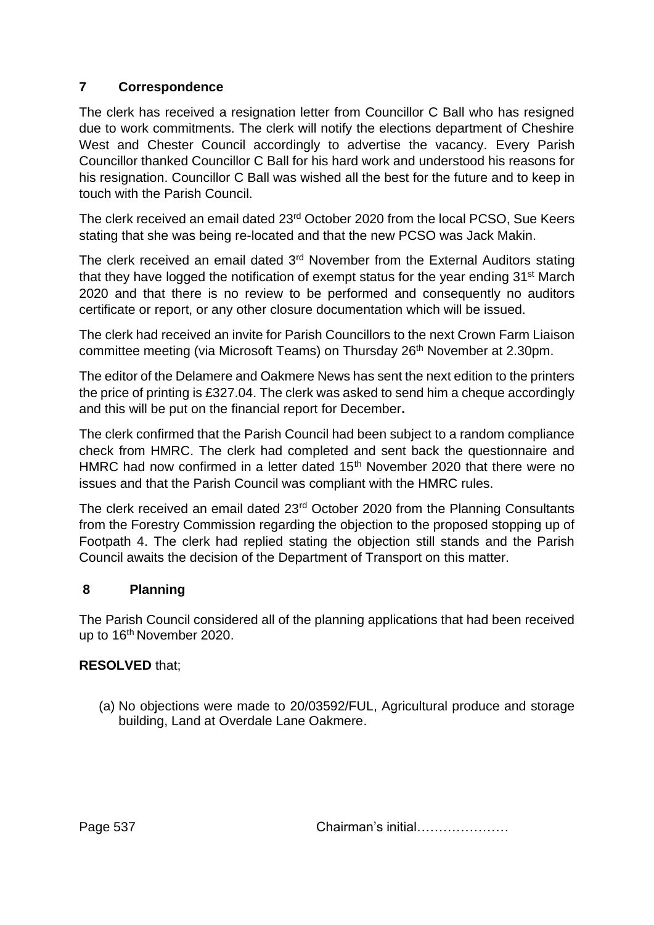# **7 Correspondence**

The clerk has received a resignation letter from Councillor C Ball who has resigned due to work commitments. The clerk will notify the elections department of Cheshire West and Chester Council accordingly to advertise the vacancy. Every Parish Councillor thanked Councillor C Ball for his hard work and understood his reasons for his resignation. Councillor C Ball was wished all the best for the future and to keep in touch with the Parish Council.

The clerk received an email dated 23rd October 2020 from the local PCSO, Sue Keers stating that she was being re-located and that the new PCSO was Jack Makin.

The clerk received an email dated  $3<sup>rd</sup>$  November from the External Auditors stating that they have logged the notification of exempt status for the year ending 31<sup>st</sup> March 2020 and that there is no review to be performed and consequently no auditors certificate or report, or any other closure documentation which will be issued.

The clerk had received an invite for Parish Councillors to the next Crown Farm Liaison committee meeting (via Microsoft Teams) on Thursday 26<sup>th</sup> November at 2.30pm.

The editor of the Delamere and Oakmere News has sent the next edition to the printers the price of printing is £327.04. The clerk was asked to send him a cheque accordingly and this will be put on the financial report for December**.** 

The clerk confirmed that the Parish Council had been subject to a random compliance check from HMRC. The clerk had completed and sent back the questionnaire and HMRC had now confirmed in a letter dated 15<sup>th</sup> November 2020 that there were no issues and that the Parish Council was compliant with the HMRC rules.

The clerk received an email dated 23rd October 2020 from the Planning Consultants from the Forestry Commission regarding the objection to the proposed stopping up of Footpath 4. The clerk had replied stating the objection still stands and the Parish Council awaits the decision of the Department of Transport on this matter.

# **8 Planning**

The Parish Council considered all of the planning applications that had been received up to 16<sup>th</sup> November 2020.

# **RESOLVED** that;

(a) No objections were made to 20/03592/FUL, Agricultural produce and storage building, Land at Overdale Lane Oakmere.

Page 537 **Chairman's initial…………………**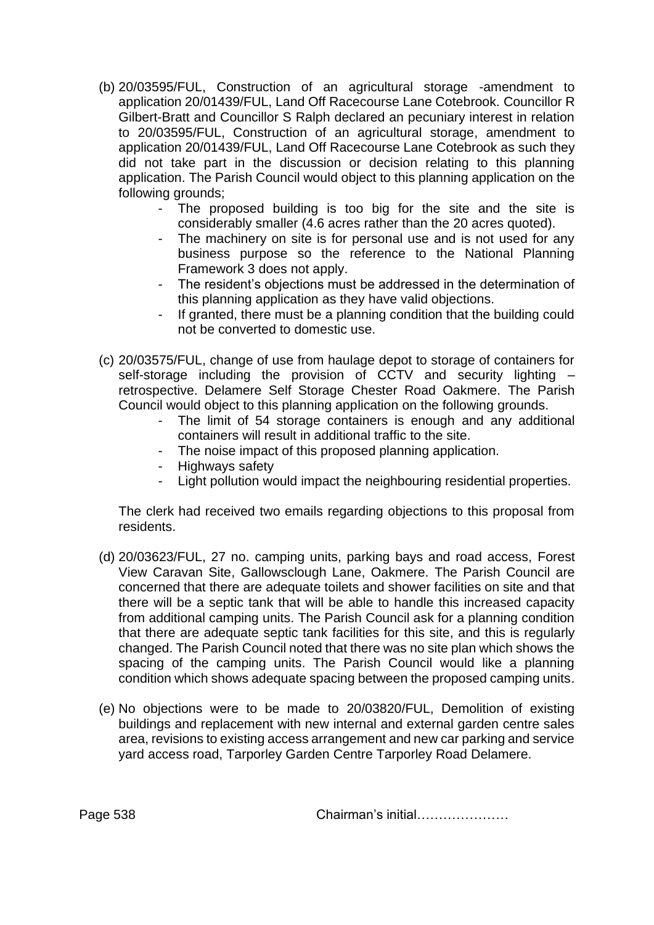- (b) 20/03595/FUL, Construction of an agricultural storage -amendment to application 20/01439/FUL, Land Off Racecourse Lane Cotebrook. Councillor R Gilbert-Bratt and Councillor S Ralph declared an pecuniary interest in relation to 20/03595/FUL, Construction of an agricultural storage, amendment to application 20/01439/FUL, Land Off Racecourse Lane Cotebrook as such they did not take part in the discussion or decision relating to this planning application. The Parish Council would object to this planning application on the following grounds;
	- The proposed building is too big for the site and the site is considerably smaller (4.6 acres rather than the 20 acres quoted).
	- The machinery on site is for personal use and is not used for any business purpose so the reference to the National Planning Framework 3 does not apply.
	- The resident's objections must be addressed in the determination of this planning application as they have valid objections.
	- If granted, there must be a planning condition that the building could not be converted to domestic use.
- (c) 20/03575/FUL, change of use from haulage depot to storage of containers for self-storage including the provision of CCTV and security lighting retrospective. Delamere Self Storage Chester Road Oakmere. The Parish Council would object to this planning application on the following grounds.
	- The limit of 54 storage containers is enough and any additional containers will result in additional traffic to the site.
	- The noise impact of this proposed planning application.
	- Highways safety
	- Light pollution would impact the neighbouring residential properties.

The clerk had received two emails regarding objections to this proposal from residents.

- (d) 20/03623/FUL, 27 no. camping units, parking bays and road access, Forest View Caravan Site, Gallowsclough Lane, Oakmere. The Parish Council are concerned that there are adequate toilets and shower facilities on site and that there will be a septic tank that will be able to handle this increased capacity from additional camping units. The Parish Council ask for a planning condition that there are adequate septic tank facilities for this site, and this is regularly changed. The Parish Council noted that there was no site plan which shows the spacing of the camping units. The Parish Council would like a planning condition which shows adequate spacing between the proposed camping units.
- (e) No objections were to be made to 20/03820/FUL, Demolition of existing buildings and replacement with new internal and external garden centre sales area, revisions to existing access arrangement and new car parking and service yard access road, Tarporley Garden Centre Tarporley Road Delamere.

Page 538 Chairman's initial…………………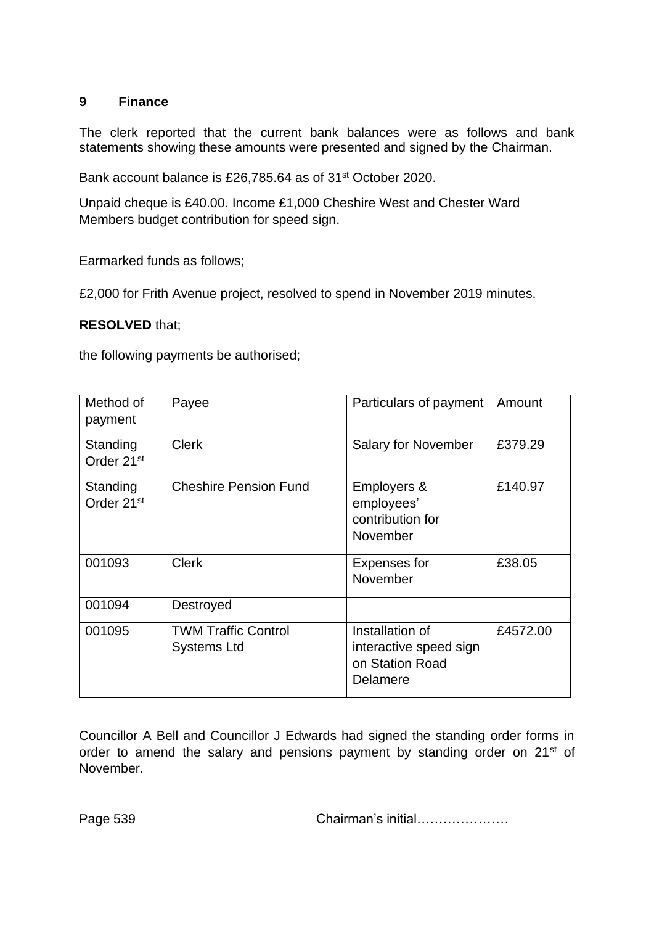#### **9 Finance**

The clerk reported that the current bank balances were as follows and bank statements showing these amounts were presented and signed by the Chairman.

Bank account balance is £26,785.64 as of 31st October 2020.

Unpaid cheque is £40.00. Income £1,000 Cheshire West and Chester Ward Members budget contribution for speed sign.

Earmarked funds as follows;

£2,000 for Frith Avenue project, resolved to spend in November 2019 minutes.

#### **RESOLVED** that;

the following payments be authorised;

| Method of<br>payment               | Payee                                            | Particulars of payment                                                   | Amount   |
|------------------------------------|--------------------------------------------------|--------------------------------------------------------------------------|----------|
| Standing<br>Order 21 <sup>st</sup> | <b>Clerk</b>                                     | <b>Salary for November</b>                                               | £379.29  |
| Standing<br>Order 21 <sup>st</sup> | <b>Cheshire Pension Fund</b>                     | Employers &<br>employees'<br>contribution for<br>November                | £140.97  |
| 001093                             | <b>Clerk</b>                                     | <b>Expenses for</b><br>November                                          | £38.05   |
| 001094                             | Destroyed                                        |                                                                          |          |
| 001095                             | <b>TWM Traffic Control</b><br><b>Systems Ltd</b> | Installation of<br>interactive speed sign<br>on Station Road<br>Delamere | £4572.00 |

Councillor A Bell and Councillor J Edwards had signed the standing order forms in order to amend the salary and pensions payment by standing order on 21<sup>st</sup> of November.

Page 539 **Chairman's initial………………**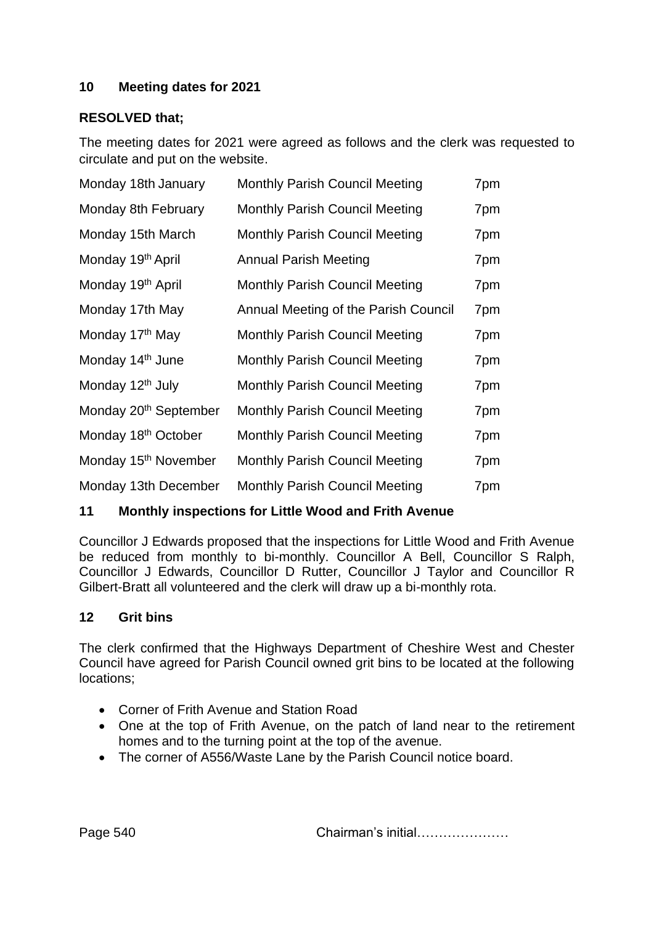## **10 Meeting dates for 2021**

#### **RESOLVED that;**

The meeting dates for 2021 were agreed as follows and the clerk was requested to circulate and put on the website.

| Monday 18th January               | <b>Monthly Parish Council Meeting</b> | 7pm |
|-----------------------------------|---------------------------------------|-----|
| Monday 8th February               | <b>Monthly Parish Council Meeting</b> | 7pm |
| Monday 15th March                 | <b>Monthly Parish Council Meeting</b> | 7pm |
| Monday 19 <sup>th</sup> April     | <b>Annual Parish Meeting</b>          | 7pm |
| Monday 19 <sup>th</sup> April     | <b>Monthly Parish Council Meeting</b> | 7pm |
| Monday 17th May                   | Annual Meeting of the Parish Council  | 7pm |
| Monday 17 <sup>th</sup> May       | <b>Monthly Parish Council Meeting</b> | 7pm |
| Monday 14 <sup>th</sup> June      | <b>Monthly Parish Council Meeting</b> | 7pm |
| Monday 12 <sup>th</sup> July      | <b>Monthly Parish Council Meeting</b> | 7pm |
| Monday 20 <sup>th</sup> September | <b>Monthly Parish Council Meeting</b> | 7pm |
| Monday 18 <sup>th</sup> October   | <b>Monthly Parish Council Meeting</b> | 7pm |
| Monday 15 <sup>th</sup> November  | <b>Monthly Parish Council Meeting</b> | 7pm |
| Monday 13th December              | <b>Monthly Parish Council Meeting</b> | 7pm |

## **11 Monthly inspections for Little Wood and Frith Avenue**

Councillor J Edwards proposed that the inspections for Little Wood and Frith Avenue be reduced from monthly to bi-monthly. Councillor A Bell, Councillor S Ralph, Councillor J Edwards, Councillor D Rutter, Councillor J Taylor and Councillor R Gilbert-Bratt all volunteered and the clerk will draw up a bi-monthly rota.

#### **12 Grit bins**

The clerk confirmed that the Highways Department of Cheshire West and Chester Council have agreed for Parish Council owned grit bins to be located at the following locations;

- Corner of Frith Avenue and Station Road
- One at the top of Frith Avenue, on the patch of land near to the retirement homes and to the turning point at the top of the avenue.
- The corner of A556/Waste Lane by the Parish Council notice board.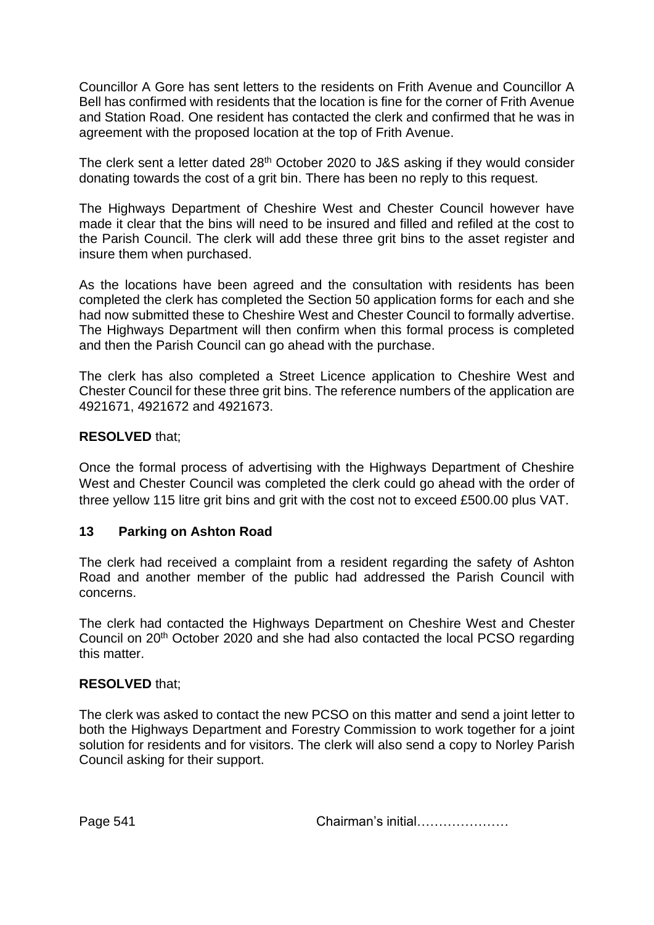Councillor A Gore has sent letters to the residents on Frith Avenue and Councillor A Bell has confirmed with residents that the location is fine for the corner of Frith Avenue and Station Road. One resident has contacted the clerk and confirmed that he was in agreement with the proposed location at the top of Frith Avenue.

The clerk sent a letter dated 28th October 2020 to J&S asking if they would consider donating towards the cost of a grit bin. There has been no reply to this request.

The Highways Department of Cheshire West and Chester Council however have made it clear that the bins will need to be insured and filled and refiled at the cost to the Parish Council. The clerk will add these three grit bins to the asset register and insure them when purchased.

As the locations have been agreed and the consultation with residents has been completed the clerk has completed the Section 50 application forms for each and she had now submitted these to Cheshire West and Chester Council to formally advertise. The Highways Department will then confirm when this formal process is completed and then the Parish Council can go ahead with the purchase.

The clerk has also completed a Street Licence application to Cheshire West and Chester Council for these three grit bins. The reference numbers of the application are 4921671, 4921672 and 4921673.

## **RESOLVED** that;

Once the formal process of advertising with the Highways Department of Cheshire West and Chester Council was completed the clerk could go ahead with the order of three yellow 115 litre grit bins and grit with the cost not to exceed £500.00 plus VAT.

#### **13 Parking on Ashton Road**

The clerk had received a complaint from a resident regarding the safety of Ashton Road and another member of the public had addressed the Parish Council with concerns.

The clerk had contacted the Highways Department on Cheshire West and Chester Council on 20th October 2020 and she had also contacted the local PCSO regarding this matter.

#### **RESOLVED** that;

The clerk was asked to contact the new PCSO on this matter and send a joint letter to both the Highways Department and Forestry Commission to work together for a joint solution for residents and for visitors. The clerk will also send a copy to Norley Parish Council asking for their support.

Page 541 **Chairman's initial………………**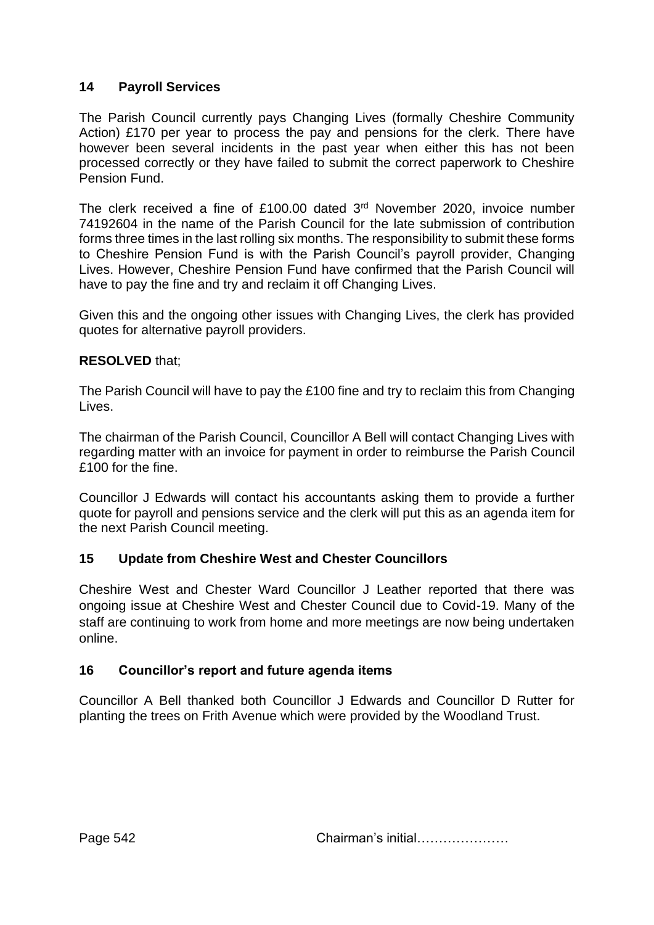# **14 Payroll Services**

The Parish Council currently pays Changing Lives (formally Cheshire Community Action) £170 per year to process the pay and pensions for the clerk. There have however been several incidents in the past year when either this has not been processed correctly or they have failed to submit the correct paperwork to Cheshire Pension Fund.

The clerk received a fine of £100.00 dated 3<sup>rd</sup> November 2020, invoice number 74192604 in the name of the Parish Council for the late submission of contribution forms three times in the last rolling six months. The responsibility to submit these forms to Cheshire Pension Fund is with the Parish Council's payroll provider, Changing Lives. However, Cheshire Pension Fund have confirmed that the Parish Council will have to pay the fine and try and reclaim it off Changing Lives.

Given this and the ongoing other issues with Changing Lives, the clerk has provided quotes for alternative payroll providers.

# **RESOLVED** that;

The Parish Council will have to pay the £100 fine and try to reclaim this from Changing Lives.

The chairman of the Parish Council, Councillor A Bell will contact Changing Lives with regarding matter with an invoice for payment in order to reimburse the Parish Council £100 for the fine.

Councillor J Edwards will contact his accountants asking them to provide a further quote for payroll and pensions service and the clerk will put this as an agenda item for the next Parish Council meeting.

# **15 Update from Cheshire West and Chester Councillors**

Cheshire West and Chester Ward Councillor J Leather reported that there was ongoing issue at Cheshire West and Chester Council due to Covid-19. Many of the staff are continuing to work from home and more meetings are now being undertaken online.

# **16 Councillor's report and future agenda items**

Councillor A Bell thanked both Councillor J Edwards and Councillor D Rutter for planting the trees on Frith Avenue which were provided by the Woodland Trust.